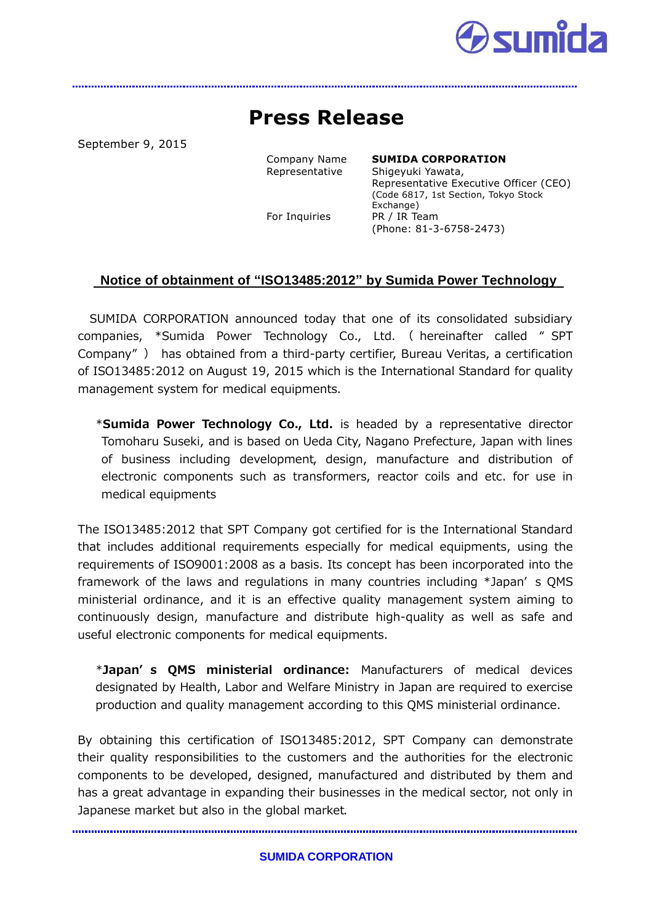

## **Press Release**

September 9, 2015

Company Name **SUMIDA CORPORATION** Representative Shigeyuki Yawata, Representative Executive Officer (CEO) (Code 6817, 1st Section, Tokyo Stock Exchange) For Inquiries PR / IR Team (Phone: 81-3-6758-2473)

## **Notice of obtainment of "ISO13485:2012" by Sumida Power Technology**

SUMIDA CORPORATION announced today that one of its consolidated subsidiary companies, \*Sumida Power Technology Co., Ltd. ( hereinafter called " SPT Company" ) has obtained from a third-party certifier, Bureau Veritas, a certification of ISO13485:2012 on August 19, 2015 which is the International Standard for quality management system for medical equipments.

\*Sumida Power Technology Co., Ltd. is headed by a representative director Tomoharu Suseki, and is based on Ueda City, Nagano Prefecture, Japan with lines of business including development, design, manufacture and distribution of electronic components such as transformers, reactor coils and etc. for use in medical equipments

The ISO13485:2012 that SPT Company got certified for is the International Standard that includes additional requirements especially for medical equipments, using the requirements of ISO9001:2008 as a basis. Its concept has been incorporated into the framework of the laws and regulations in many countries including \*Japan' s QMS ministerial ordinance, and it is an effective quality management system aiming to continuously design, manufacture and distribute high-quality as well as safe and useful electronic components for medical equipments.

 \*Japan' s QMS ministerial ordinance: Manufacturers of medical devices designated by Health, Labor and Welfare Ministry in Japan are required to exercise production and quality management according to this QMS ministerial ordinance.

By obtaining this certification of ISO13485:2012, SPT Company can demonstrate their quality responsibilities to the customers and the authorities for the electronic components to be developed, designed, manufactured and distributed by them and has a great advantage in expanding their businesses in the medical sector, not only in Japanese market but also in the global market.

**SUMIDA CORPORATION**